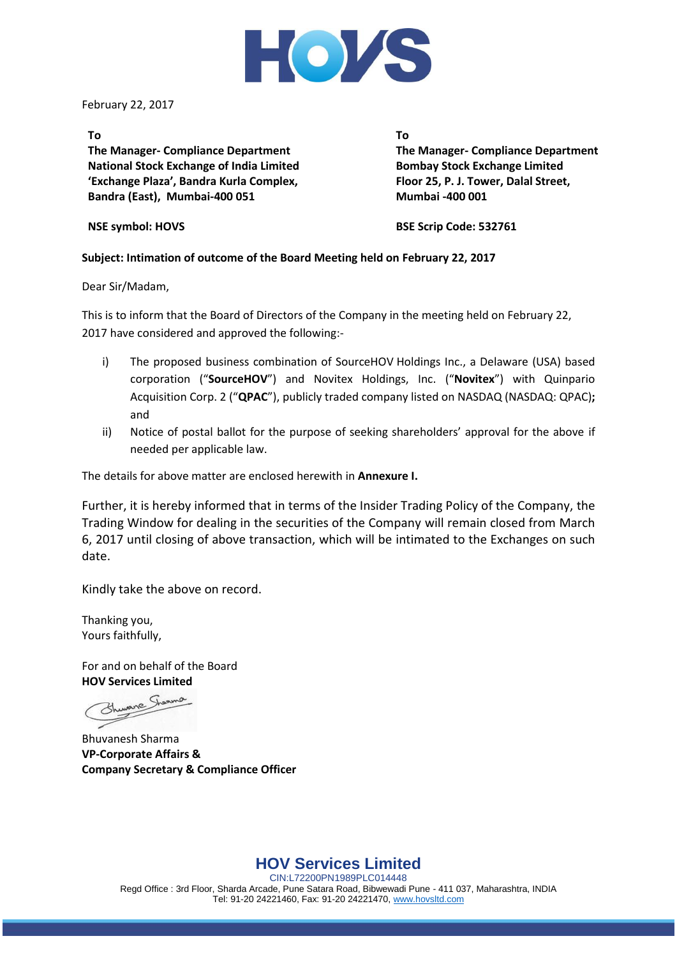

February 22, 2017

#### **To**

**The Manager- Compliance Department National Stock Exchange of India Limited 'Exchange Plaza', Bandra Kurla Complex, Bandra (East), Mumbai-400 051**

**To The Manager- Compliance Department Bombay Stock Exchange Limited Floor 25, P. J. Tower, Dalal Street, Mumbai -400 001**

**NSE symbol: HOVS**

**BSE Scrip Code: 532761**

#### **Subject: Intimation of outcome of the Board Meeting held on February 22, 2017**

Dear Sir/Madam,

This is to inform that the Board of Directors of the Company in the meeting held on February 22, 2017 have considered and approved the following:-

- i) The proposed business combination of SourceHOV Holdings Inc., a Delaware (USA) based corporation ("**SourceHOV**") and Novitex Holdings, Inc. ("**Novitex**") with Quinpario Acquisition Corp. 2 ("**QPAC**"), publicly traded company listed on NASDAQ (NASDAQ: QPAC)**;** and
- ii) Notice of postal ballot for the purpose of seeking shareholders' approval for the above if needed per applicable law.

The details for above matter are enclosed herewith in **Annexure I.**

Further, it is hereby informed that in terms of the Insider Trading Policy of the Company, the Trading Window for dealing in the securities of the Company will remain closed from March 6, 2017 until closing of above transaction, which will be intimated to the Exchanges on such date.

Kindly take the above on record.

Thanking you, Yours faithfully,

For and on behalf of the Board **HOV Services Limited**

Bhuvanesh Sharma **VP-Corporate Affairs & Company Secretary & Compliance Officer**

**HOV Services Limited**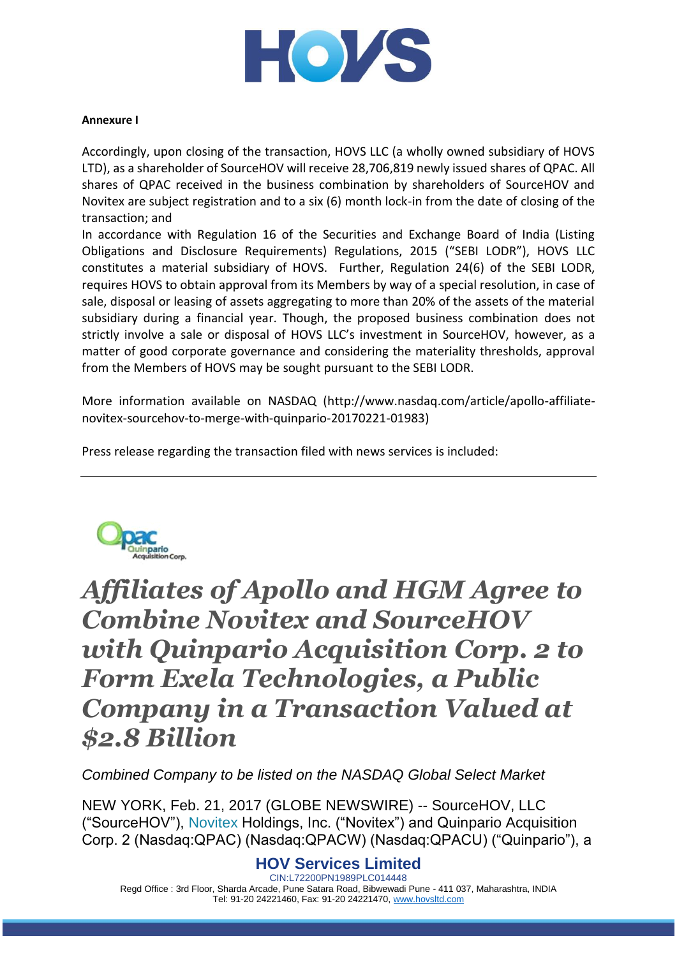

#### **Annexure I**

Accordingly, upon closing of the transaction, HOVS LLC (a wholly owned subsidiary of HOVS LTD), as a shareholder of SourceHOV will receive 28,706,819 newly issued shares of QPAC. All shares of QPAC received in the business combination by shareholders of SourceHOV and Novitex are subject registration and to a six (6) month lock-in from the date of closing of the transaction; and

In accordance with Regulation 16 of the Securities and Exchange Board of India (Listing Obligations and Disclosure Requirements) Regulations, 2015 ("SEBI LODR"), HOVS LLC constitutes a material subsidiary of HOVS. Further, Regulation 24(6) of the SEBI LODR, requires HOVS to obtain approval from its Members by way of a special resolution, in case of sale, disposal or leasing of assets aggregating to more than 20% of the assets of the material subsidiary during a financial year. Though, the proposed business combination does not strictly involve a sale or disposal of HOVS LLC's investment in SourceHOV, however, as a matter of good corporate governance and considering the materiality thresholds, approval from the Members of HOVS may be sought pursuant to the SEBI LODR.

More information available on NASDAQ [\(http://www.nasdaq.com/article/apollo-affiliate](http://www.nasdaq.com/article/apollo-affiliate-novitex-sourcehov-to-merge-with-quinpario-20170221-01983)[novitex-sourcehov-to-merge-with-quinpario-20170221-01983\)](http://www.nasdaq.com/article/apollo-affiliate-novitex-sourcehov-to-merge-with-quinpario-20170221-01983)

Press release regarding the transaction filed with news services is included:



# *Affiliates of Apollo and HGM Agree to Combine Novitex and SourceHOV with Quinpario Acquisition Corp. 2 to Form Exela Technologies, a Public Company in a Transaction Valued at \$2.8 Billion*

*Combined Company to be listed on the NASDAQ Global Select Market* 

NEW YORK, Feb. 21, 2017 (GLOBE NEWSWIRE) -- SourceHOV, LLC ("SourceHOV"), Novitex Holdings, Inc. ("Novitex") and Quinpario Acquisition Corp. 2 (Nasdaq:QPAC) (Nasdaq:QPACW) (Nasdaq:QPACU) ("Quinpario"), a

# **HOV Services Limited**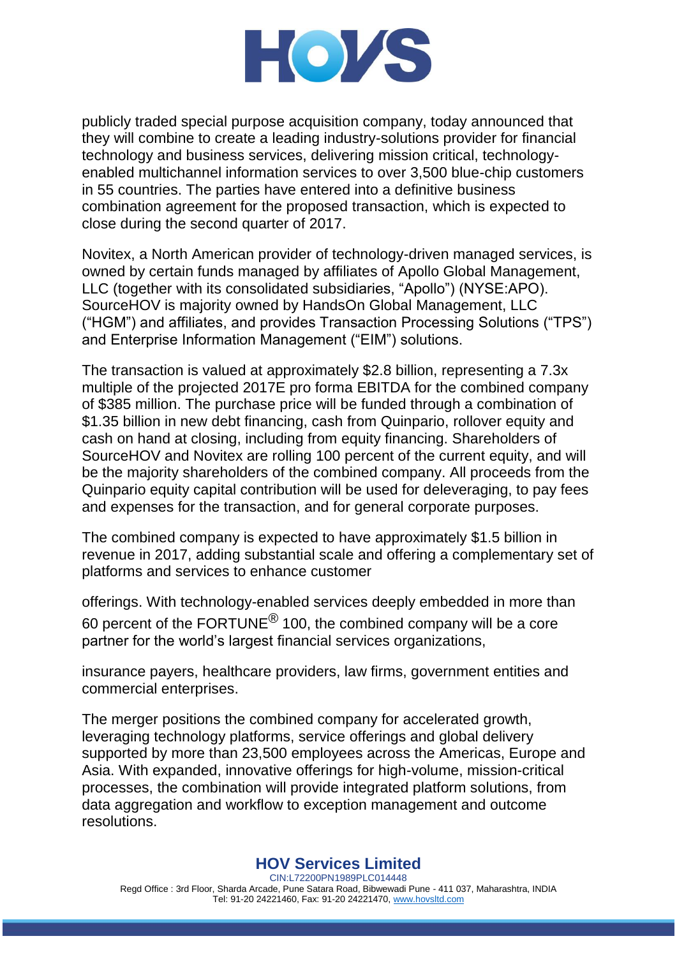

publicly traded special purpose acquisition company, today announced that they will combine to create a leading industry-solutions provider for financial technology and business services, delivering mission critical, technologyenabled multichannel information services to over 3,500 blue-chip customers in 55 countries. The parties have entered into a definitive business combination agreement for the proposed transaction, which is expected to close during the second quarter of 2017.

Novitex, a North American provider of technology-driven managed services, is owned by certain funds managed by affiliates of Apollo Global Management, LLC (together with its consolidated subsidiaries, "Apollo") (NYSE:APO). SourceHOV is majority owned by HandsOn Global Management, LLC ("HGM") and affiliates, and provides Transaction Processing Solutions ("TPS") and Enterprise Information Management ("EIM") solutions.

The transaction is valued at approximately \$2.8 billion, representing a 7.3x multiple of the projected 2017E pro forma EBITDA for the combined company of \$385 million. The purchase price will be funded through a combination of \$1.35 billion in new debt financing, cash from Quinpario, rollover equity and cash on hand at closing, including from equity financing. Shareholders of SourceHOV and Novitex are rolling 100 percent of the current equity, and will be the majority shareholders of the combined company. All proceeds from the Quinpario equity capital contribution will be used for deleveraging, to pay fees and expenses for the transaction, and for general corporate purposes.

The combined company is expected to have approximately \$1.5 billion in revenue in 2017, adding substantial scale and offering a complementary set of platforms and services to enhance customer

offerings. With technology-enabled services deeply embedded in more than 60 percent of the FORTUNE® 100, the combined company will be a core partner for the world's largest financial services organizations,

insurance payers, healthcare providers, law firms, government entities and commercial enterprises.

The merger positions the combined company for accelerated growth, leveraging technology platforms, service offerings and global delivery supported by more than 23,500 employees across the Americas, Europe and Asia. With expanded, innovative offerings for high-volume, mission-critical processes, the combination will provide integrated platform solutions, from data aggregation and workflow to exception management and outcome resolutions.

# **HOV Services Limited**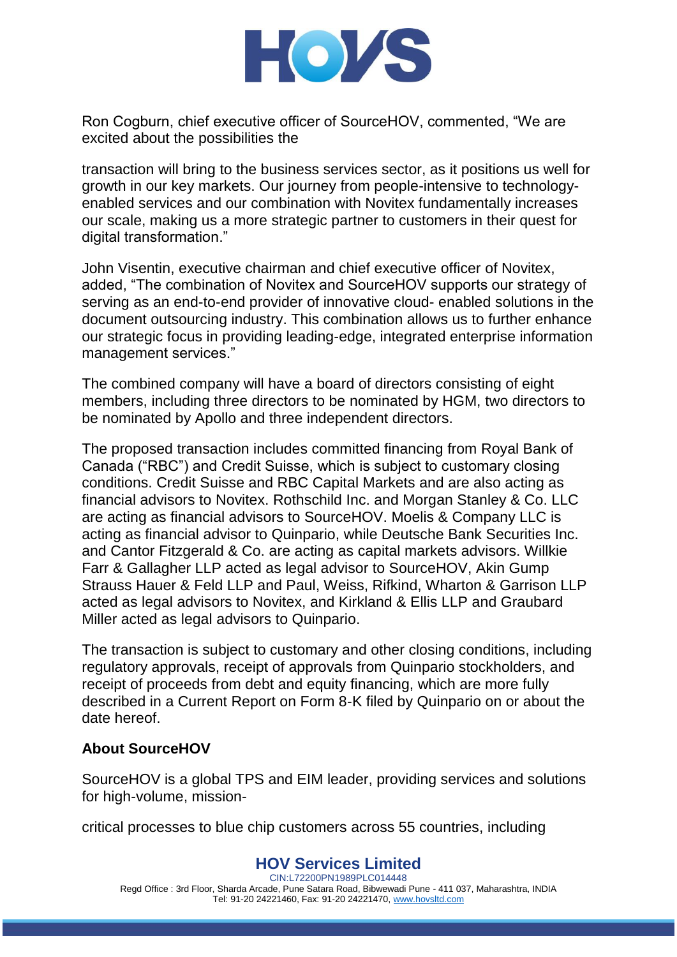

Ron Cogburn, chief executive officer of SourceHOV, commented, "We are excited about the possibilities the

transaction will bring to the business services sector, as it positions us well for growth in our key markets. Our journey from people-intensive to technologyenabled services and our combination with Novitex fundamentally increases our scale, making us a more strategic partner to customers in their quest for digital transformation."

John Visentin, executive chairman and chief executive officer of Novitex, added, "The combination of Novitex and SourceHOV supports our strategy of serving as an end-to-end provider of innovative cloud- enabled solutions in the document outsourcing industry. This combination allows us to further enhance our strategic focus in providing leading-edge, integrated enterprise information management services."

The combined company will have a board of directors consisting of eight members, including three directors to be nominated by HGM, two directors to be nominated by Apollo and three independent directors.

The proposed transaction includes committed financing from Royal Bank of Canada ("RBC") and Credit Suisse, which is subject to customary closing conditions. Credit Suisse and RBC Capital Markets and are also acting as financial advisors to Novitex. Rothschild Inc. and Morgan Stanley & Co. LLC are acting as financial advisors to SourceHOV. Moelis & Company LLC is acting as financial advisor to Quinpario, while Deutsche Bank Securities Inc. and Cantor Fitzgerald & Co. are acting as capital markets advisors. Willkie Farr & Gallagher LLP acted as legal advisor to SourceHOV, Akin Gump Strauss Hauer & Feld LLP and Paul, Weiss, Rifkind, Wharton & Garrison LLP acted as legal advisors to Novitex, and Kirkland & Ellis LLP and Graubard Miller acted as legal advisors to Quinpario.

The transaction is subject to customary and other closing conditions, including regulatory approvals, receipt of approvals from Quinpario stockholders, and receipt of proceeds from debt and equity financing, which are more fully described in a Current Report on Form 8-K filed by Quinpario on or about the date hereof.

# **About SourceHOV**

SourceHOV is a global TPS and EIM leader, providing services and solutions for high-volume, mission-

critical processes to blue chip customers across 55 countries, including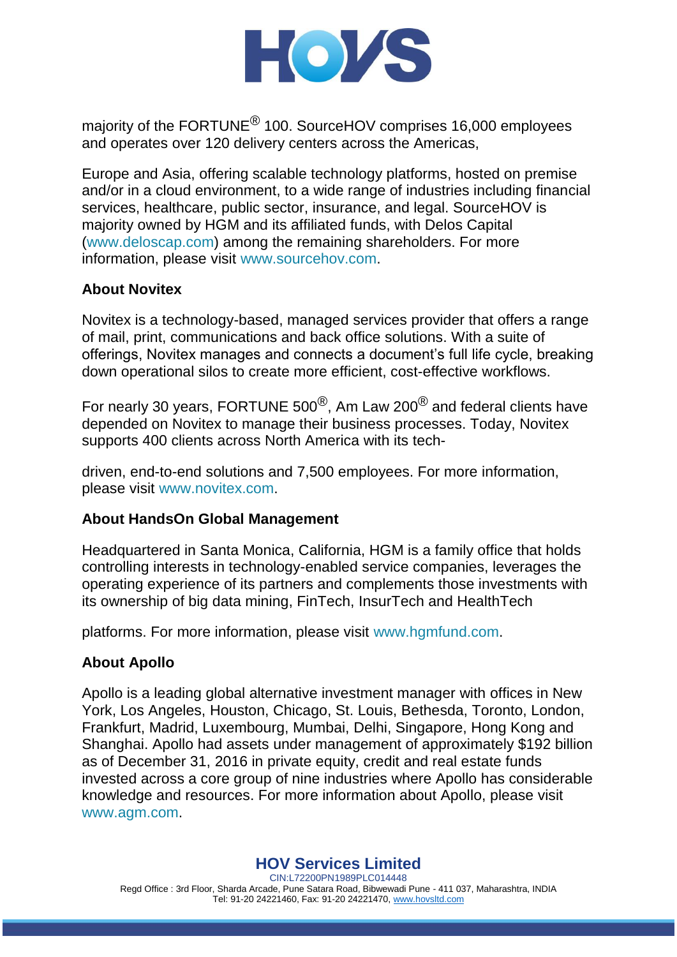

majority of the FORTUNE<sup>®</sup> 100. SourceHOV comprises 16,000 employees and operates over 120 delivery centers across the Americas,

Europe and Asia, offering scalable technology platforms, hosted on premise and/or in a cloud environment, to a wide range of industries including financial services, healthcare, public sector, insurance, and legal. SourceHOV is majority owned by HGM and its affiliated funds, with Delos Capital (www.deloscap.com) among the remaining shareholders. For more information, please visit www.sourcehov.com.

# **About Novitex**

Novitex is a technology-based, managed services provider that offers a range of mail, print, communications and back office solutions. With a suite of offerings, Novitex manages and connects a document's full life cycle, breaking down operational silos to create more efficient, cost-effective workflows.

For nearly 30 years, FORTUNE 500<sup>®</sup>, Am Law 200<sup>®</sup> and federal clients have depended on Novitex to manage their business processes. Today, Novitex supports 400 clients across North America with its tech-

driven, end-to-end solutions and 7,500 employees. For more information, please visit www.novitex.com.

# **About HandsOn Global Management**

Headquartered in Santa Monica, California, HGM is a family office that holds controlling interests in technology-enabled service companies, leverages the operating experience of its partners and complements those investments with its ownership of big data mining, FinTech, InsurTech and HealthTech

platforms. For more information, please visit www.hgmfund.com.

# **About Apollo**

Apollo is a leading global alternative investment manager with offices in New York, Los Angeles, Houston, Chicago, St. Louis, Bethesda, Toronto, London, Frankfurt, Madrid, Luxembourg, Mumbai, Delhi, Singapore, Hong Kong and Shanghai. Apollo had assets under management of approximately \$192 billion as of December 31, 2016 in private equity, credit and real estate funds invested across a core group of nine industries where Apollo has considerable knowledge and resources. For more information about Apollo, please visit www.agm.com.

# **HOV Services Limited**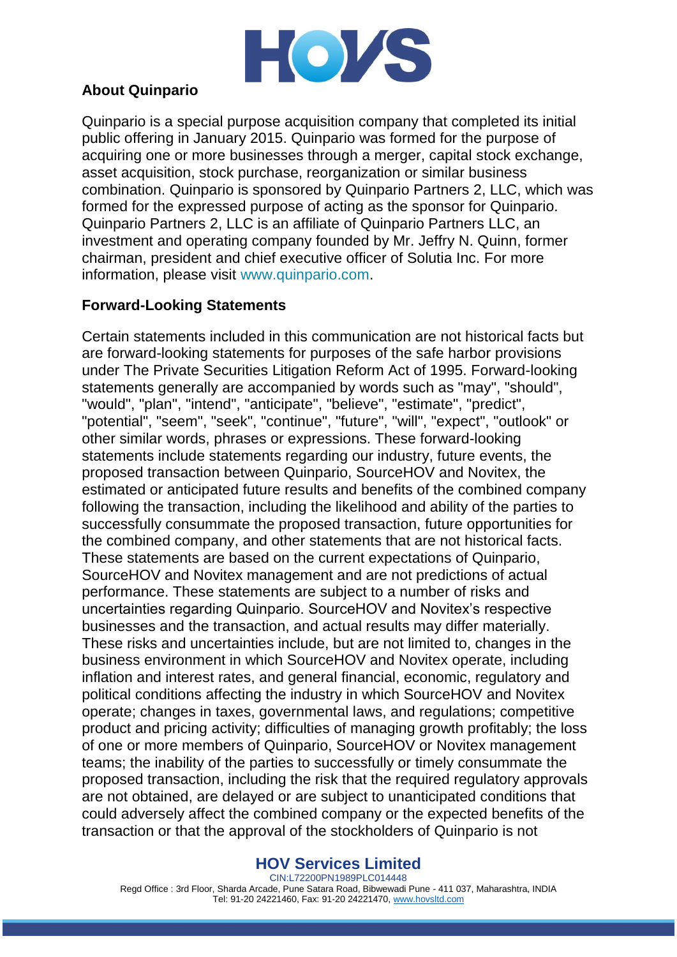

# **About Quinpario**

Quinpario is a special purpose acquisition company that completed its initial public offering in January 2015. Quinpario was formed for the purpose of acquiring one or more businesses through a merger, capital stock exchange, asset acquisition, stock purchase, reorganization or similar business combination. Quinpario is sponsored by Quinpario Partners 2, LLC, which was formed for the expressed purpose of acting as the sponsor for Quinpario. Quinpario Partners 2, LLC is an affiliate of Quinpario Partners LLC, an investment and operating company founded by Mr. Jeffry N. Quinn, former chairman, president and chief executive officer of Solutia Inc. For more information, please visit www.quinpario.com.

# **Forward-Looking Statements**

Certain statements included in this communication are not historical facts but are forward-looking statements for purposes of the safe harbor provisions under The Private Securities Litigation Reform Act of 1995. Forward-looking statements generally are accompanied by words such as "may", "should", "would", "plan", "intend", "anticipate", "believe", "estimate", "predict", "potential", "seem", "seek", "continue", "future", "will", "expect", "outlook" or other similar words, phrases or expressions. These forward-looking statements include statements regarding our industry, future events, the proposed transaction between Quinpario, SourceHOV and Novitex, the estimated or anticipated future results and benefits of the combined company following the transaction, including the likelihood and ability of the parties to successfully consummate the proposed transaction, future opportunities for the combined company, and other statements that are not historical facts. These statements are based on the current expectations of Quinpario, SourceHOV and Novitex management and are not predictions of actual performance. These statements are subject to a number of risks and uncertainties regarding Quinpario. SourceHOV and Novitex's respective businesses and the transaction, and actual results may differ materially. These risks and uncertainties include, but are not limited to, changes in the business environment in which SourceHOV and Novitex operate, including inflation and interest rates, and general financial, economic, regulatory and political conditions affecting the industry in which SourceHOV and Novitex operate; changes in taxes, governmental laws, and regulations; competitive product and pricing activity; difficulties of managing growth profitably; the loss of one or more members of Quinpario, SourceHOV or Novitex management teams; the inability of the parties to successfully or timely consummate the proposed transaction, including the risk that the required regulatory approvals are not obtained, are delayed or are subject to unanticipated conditions that could adversely affect the combined company or the expected benefits of the transaction or that the approval of the stockholders of Quinpario is not

# **HOV Services Limited**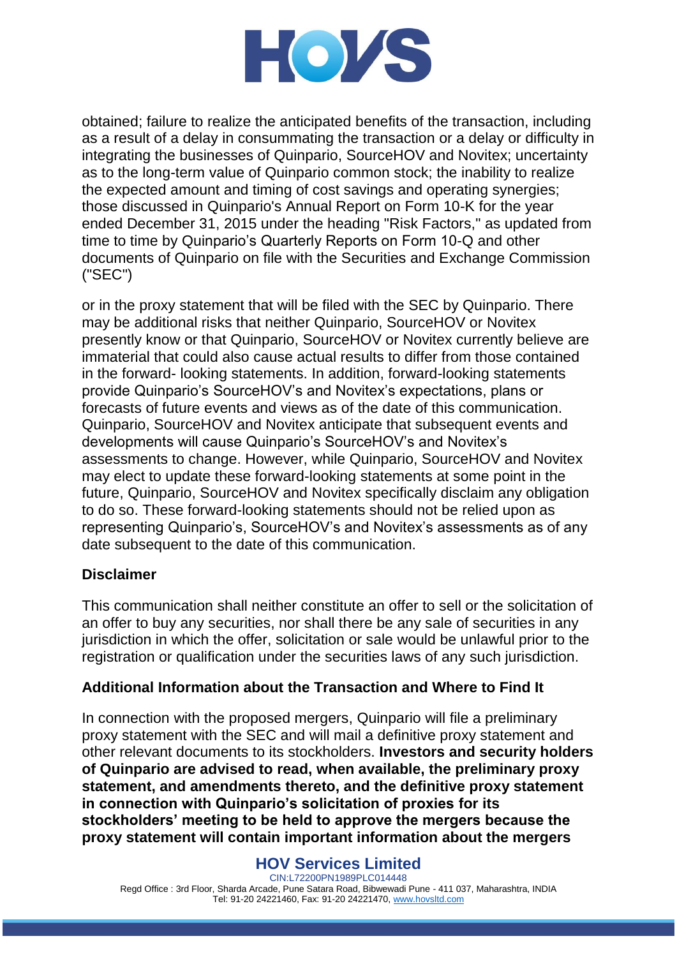

obtained; failure to realize the anticipated benefits of the transaction, including as a result of a delay in consummating the transaction or a delay or difficulty in integrating the businesses of Quinpario, SourceHOV and Novitex; uncertainty as to the long-term value of Quinpario common stock; the inability to realize the expected amount and timing of cost savings and operating synergies; those discussed in Quinpario's Annual Report on Form 10-K for the year ended December 31, 2015 under the heading "Risk Factors," as updated from time to time by Quinpario's Quarterly Reports on Form 10-Q and other documents of Quinpario on file with the Securities and Exchange Commission ("SEC")

or in the proxy statement that will be filed with the SEC by Quinpario. There may be additional risks that neither Quinpario, SourceHOV or Novitex presently know or that Quinpario, SourceHOV or Novitex currently believe are immaterial that could also cause actual results to differ from those contained in the forward- looking statements. In addition, forward-looking statements provide Quinpario's SourceHOV's and Novitex's expectations, plans or forecasts of future events and views as of the date of this communication. Quinpario, SourceHOV and Novitex anticipate that subsequent events and developments will cause Quinpario's SourceHOV's and Novitex's assessments to change. However, while Quinpario, SourceHOV and Novitex may elect to update these forward-looking statements at some point in the future, Quinpario, SourceHOV and Novitex specifically disclaim any obligation to do so. These forward-looking statements should not be relied upon as representing Quinpario's, SourceHOV's and Novitex's assessments as of any date subsequent to the date of this communication.

# **Disclaimer**

This communication shall neither constitute an offer to sell or the solicitation of an offer to buy any securities, nor shall there be any sale of securities in any jurisdiction in which the offer, solicitation or sale would be unlawful prior to the registration or qualification under the securities laws of any such jurisdiction.

# **Additional Information about the Transaction and Where to Find It**

In connection with the proposed mergers, Quinpario will file a preliminary proxy statement with the SEC and will mail a definitive proxy statement and other relevant documents to its stockholders. **Investors and security holders of Quinpario are advised to read, when available, the preliminary proxy statement, and amendments thereto, and the definitive proxy statement in connection with Quinpario's solicitation of proxies for its stockholders' meeting to be held to approve the mergers because the proxy statement will contain important information about the mergers** 

# **HOV Services Limited**